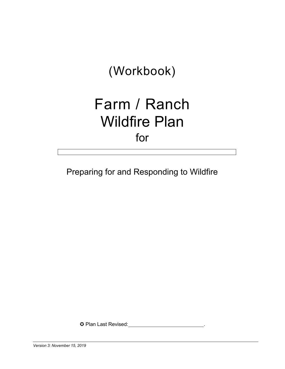# (Workbook)

# Farm / Ranch Wildfire Plan for

Preparing for and Responding to Wildfire

µ Plan Last Revised: .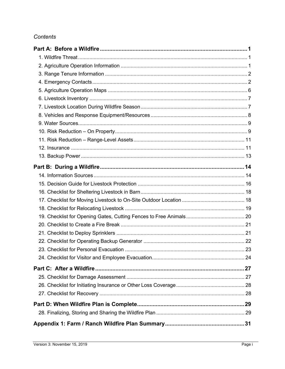## Contents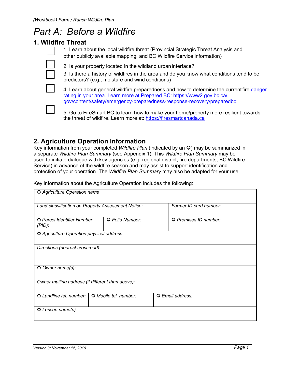## *Part A: Before a Wildfire*

## **1. Wildfire Threat**

1. Learn about the local wildfire threat (Provincial Strategic Threat Analysis and other publicly available mapping; and BC Wildfire Service information)

2. Is your property located in the wildland urban interface?

3. Is there a history of wildfires in the area and do you know what conditions tend to be predictors? (e.g., moisture and wind conditions)

4. Learn about general wildfire preparedness and how to determine the current fire danger rating in your area. Learn more at Prepared BC: https://www2.gov.bc.ca/ gov/content/safety/emergency-preparedness-response-recovery/preparedbc



5. Go to FireSmart BC to learn how to make your home/property more resilient towards the threat of wildfire. Learn more at: https://firesmartcanada.ca

## **2. Agriculture Operation Information**

Key information from your completed *Wildfire Plan* (indicated by an  $\circled{u}$ ) may be summarized in a separate *Wildfire Plan Summary* (see Appendix 1). This *Wildfire Plan Summary* may be used to initiate dialogue with key agencies (e.g. regional district, fire departments, BC Wildfire Service) in advance of the wildfire season and may assist to support identification and protection of your operation. The *Wildfire Plan Summary* may also be adapted for your use.

Key information about the Agriculture Operation includes the following:

| <b>3</b> Agriculture Operation name                                       |                 |                        |  |  |  |  |  |  |  |  |  |
|---------------------------------------------------------------------------|-----------------|------------------------|--|--|--|--|--|--|--|--|--|
| Land classification on Property Assessment Notice:                        |                 | Farmer ID card number: |  |  |  |  |  |  |  |  |  |
| O Parcel Identifier Number<br>$(PID)$ :                                   | C Folio Number: | O Premises ID number:  |  |  |  |  |  |  |  |  |  |
| O Agriculture Operation physical address:                                 |                 |                        |  |  |  |  |  |  |  |  |  |
| Directions (nearest crossroad):<br>O Owner name(s):                       |                 |                        |  |  |  |  |  |  |  |  |  |
| Owner mailing address (if different than above):                          |                 |                        |  |  |  |  |  |  |  |  |  |
| O Landline tel. number:<br>Mobile tel. number:<br><b>C</b> Email address: |                 |                        |  |  |  |  |  |  |  |  |  |
| $\odot$ Lessee name(s):                                                   |                 |                        |  |  |  |  |  |  |  |  |  |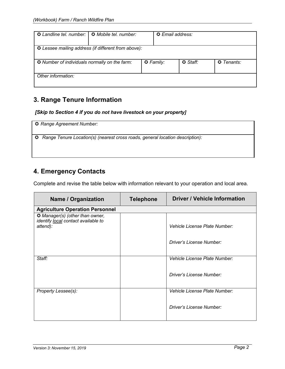| <b>Q</b> Landline tel. number: I                     | <b>G</b> Mobile tel. number: |                 | <b>Q</b> Email address: |                   |  |  |  |  |  |  |
|------------------------------------------------------|------------------------------|-----------------|-------------------------|-------------------|--|--|--|--|--|--|
| O Lessee mailing address (if different from above):  |                              |                 |                         |                   |  |  |  |  |  |  |
| <b>O</b> Number of individuals normally on the farm: |                              | $\odot$ Family: | C Staff:                | <b>Q</b> Tenants: |  |  |  |  |  |  |
| Other information:                                   |                              |                 |                         |                   |  |  |  |  |  |  |

## **3. Range Tenure Information**

#### *[Skip to Section 4 if you do not have livestock on your property]*

µ *Range Agreement Number:*

µ *Range Tenure Location(s) (nearest cross roads, general location description):*

## **4. Emergency Contacts**

Complete and revise the table below with information relevant to your operation and local area.

| <b>Name / Organization</b>                                                                | <b>Telephone</b> | <b>Driver / Vehicle Information</b> |
|-------------------------------------------------------------------------------------------|------------------|-------------------------------------|
| <b>Agriculture Operation Personnel</b>                                                    |                  |                                     |
| <b>3 Manager(s) (other than owner,</b><br>identify local contact available to<br>attend): |                  | Vehicle License Plate Number:       |
|                                                                                           |                  | Driver's License Number:            |
| Staff:                                                                                    |                  | Vehicle License Plate Number:       |
|                                                                                           |                  | Driver's License Number:            |
| Property Lessee(s):                                                                       |                  | Vehicle License Plate Number:       |
|                                                                                           |                  | Driver's License Number:            |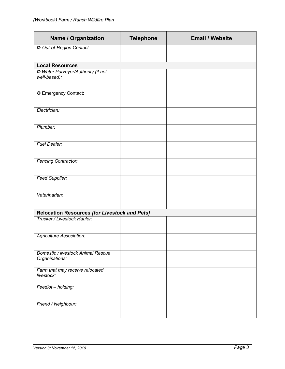| <b>Name / Organization</b>                           | <b>Telephone</b> | <b>Email / Website</b> |
|------------------------------------------------------|------------------|------------------------|
| O Out-of-Region Contact:                             |                  |                        |
| <b>Local Resources</b>                               |                  |                        |
| Water Purveyor/Authority (if not<br>well-based):     |                  |                        |
| C Emergency Contact:                                 |                  |                        |
| Electrician:                                         |                  |                        |
| Plumber:                                             |                  |                        |
| <b>Fuel Dealer:</b>                                  |                  |                        |
| <b>Fencing Contractor:</b>                           |                  |                        |
| <b>Feed Supplier:</b>                                |                  |                        |
| Veterinarian:                                        |                  |                        |
| <b>Relocation Resources [for Livestock and Pets]</b> |                  |                        |
| Trucker / Livestock Hauler:                          |                  |                        |
| <b>Agriculture Association:</b>                      |                  |                        |
| Domestic / livestock Animal Rescue<br>Organisations: |                  |                        |
| Farm that may receive relocated<br>livestock:        |                  |                        |
| Feedlot - holding:                                   |                  |                        |
| Friend / Neighbour:                                  |                  |                        |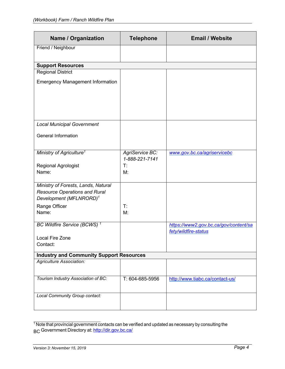| <b>Name / Organization</b>                      | <b>Telephone</b>                  | <b>Email / Website</b>                |
|-------------------------------------------------|-----------------------------------|---------------------------------------|
| Friend / Neighbour                              |                                   |                                       |
|                                                 |                                   |                                       |
| <b>Support Resources</b>                        |                                   |                                       |
| <b>Regional District</b>                        |                                   |                                       |
| <b>Emergency Management Information</b>         |                                   |                                       |
|                                                 |                                   |                                       |
|                                                 |                                   |                                       |
| <b>Local Municipal Government</b>               |                                   |                                       |
|                                                 |                                   |                                       |
| <b>General Information</b>                      |                                   |                                       |
|                                                 |                                   |                                       |
| Ministry of Agriculture <sup>1</sup>            | AgriService BC:<br>1-888-221-7141 | www.gov.bc.ca/agriservicebc           |
| Regional Agrologist                             | T:                                |                                       |
| Name:                                           | M:                                |                                       |
| Ministry of Forests, Lands, Natural             |                                   |                                       |
| <b>Resource Operations and Rural</b>            |                                   |                                       |
| Development (MFLNRORD) <sup>1</sup>             |                                   |                                       |
| Range Officer                                   | T:                                |                                       |
| Name:                                           | M:                                |                                       |
| BC Wildfire Service (BCWS) <sup>1</sup>         |                                   | https://www2.gov.bc.ca/gov/content/sa |
| Local Fire Zone                                 |                                   | fety/wildfire-status                  |
| Contact:                                        |                                   |                                       |
| <b>Industry and Community Support Resources</b> |                                   |                                       |
| <b>Agriculture Association:</b>                 |                                   |                                       |
|                                                 |                                   |                                       |
| Tourism Industry Association of BC:             | T: 604-685-5956                   | http://www.tiabc.ca/contact-us/       |
|                                                 |                                   |                                       |
| Local Community Group contact:                  |                                   |                                       |
|                                                 |                                   |                                       |

 $1$  Note that provincial government contacts can be verified and updated as necessary by consulting the BC Government Directory at: <u>http://dir.gov.bc.ca/</u>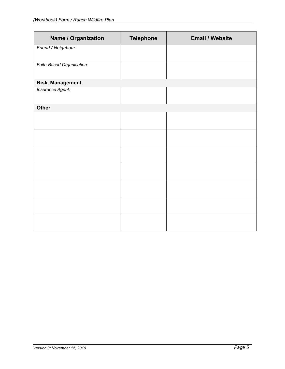| <b>Name / Organization</b> | <b>Telephone</b> | <b>Email / Website</b> |
|----------------------------|------------------|------------------------|
| Friend / Neighbour:        |                  |                        |
| Faith-Based Organisation:  |                  |                        |
| <b>Risk Management</b>     |                  |                        |
| Insurance Agent:           |                  |                        |
| <b>Other</b>               |                  |                        |
|                            |                  |                        |
|                            |                  |                        |
|                            |                  |                        |
|                            |                  |                        |
|                            |                  |                        |
|                            |                  |                        |
|                            |                  |                        |
|                            |                  |                        |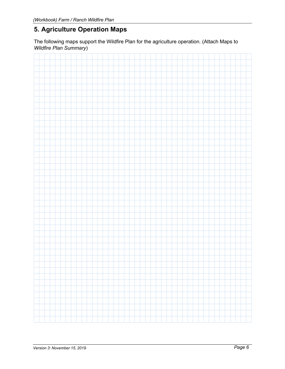## **5. Agriculture Operation Maps**

The following maps support the Wildfire Plan for the agriculture operation. (Attach Maps to *Wildfire Plan Summary*)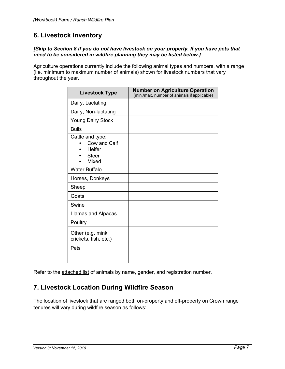## **6. Livestock Inventory**

#### *[Skip to Section 8 if you do not have livestock on your property. If you have pets that need to be considered in wildfire planning they may be listed below.]*

Agriculture operations currently include the following animal types and numbers, with a range (i.e. minimum to maximum number of animals) shown for livestock numbers that vary throughout the year.

| <b>Livestock Type</b>                                               | <b>Number on Agriculture Operation</b><br>(min./max. number of animals if applicable) |
|---------------------------------------------------------------------|---------------------------------------------------------------------------------------|
| Dairy, Lactating                                                    |                                                                                       |
| Dairy, Non-lactating                                                |                                                                                       |
| <b>Young Dairy Stock</b>                                            |                                                                                       |
| <b>Bulls</b>                                                        |                                                                                       |
| Cattle and type:<br>Cow and Calf<br>Heifer<br><b>Steer</b><br>Mixed |                                                                                       |
| <b>Water Buffalo</b>                                                |                                                                                       |
| Horses, Donkeys                                                     |                                                                                       |
| Sheep                                                               |                                                                                       |
| Goats                                                               |                                                                                       |
| Swine                                                               |                                                                                       |
| Llamas and Alpacas                                                  |                                                                                       |
| Poultry                                                             |                                                                                       |
| Other (e.g. mink,<br>crickets, fish, etc.)                          |                                                                                       |
| Pets                                                                |                                                                                       |

Refer to the attached list of animals by name, gender, and registration number.

## **7. Livestock Location During Wildfire Season**

The location of livestock that are ranged both on-property and off-property on Crown range tenures will vary during wildfire season as follows: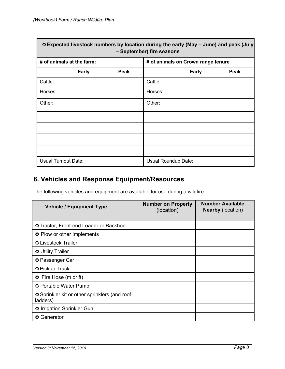|                            |      | ⊙Expected livestock numbers by location during the early (May – June) and peak (July<br>- September) fire seasons |      |  |  |  |  |  |  |  |
|----------------------------|------|-------------------------------------------------------------------------------------------------------------------|------|--|--|--|--|--|--|--|
| # of animals at the farm:  |      | # of animals on Crown range tenure                                                                                |      |  |  |  |  |  |  |  |
| <b>Early</b>               | Peak | <b>Early</b>                                                                                                      | Peak |  |  |  |  |  |  |  |
| Cattle:                    |      | Cattle:                                                                                                           |      |  |  |  |  |  |  |  |
| Horses:                    |      | Horses:                                                                                                           |      |  |  |  |  |  |  |  |
| Other:                     |      | Other:                                                                                                            |      |  |  |  |  |  |  |  |
|                            |      |                                                                                                                   |      |  |  |  |  |  |  |  |
|                            |      |                                                                                                                   |      |  |  |  |  |  |  |  |
|                            |      |                                                                                                                   |      |  |  |  |  |  |  |  |
|                            |      |                                                                                                                   |      |  |  |  |  |  |  |  |
| <b>Usual Turnout Date:</b> |      | Usual Roundup Date:                                                                                               |      |  |  |  |  |  |  |  |

## **8. Vehicles and Response Equipment/Resources**

The following vehicles and equipment are available for use during a wildfire:

| <b>Vehicle / Equipment Type</b>                                  | <b>Number on Property</b><br>(location) | <b>Number Available</b><br><b>Nearby (location)</b> |
|------------------------------------------------------------------|-----------------------------------------|-----------------------------------------------------|
| <b>O</b> Tractor, Front-end Loader or Backhoe                    |                                         |                                                     |
| O Plow or other Implements                                       |                                         |                                                     |
| <b>O</b> Livestock Trailer                                       |                                         |                                                     |
| <b>C</b> Utility Trailer                                         |                                         |                                                     |
| <b>☉</b> Passenger Car                                           |                                         |                                                     |
| <b>☉</b> Pickup Truck                                            |                                         |                                                     |
| <b>C</b> Fire Hose (m or ft)                                     |                                         |                                                     |
| <b>☉</b> Portable Water Pump                                     |                                         |                                                     |
| <b>☉</b> Sprinkler kit or other sprinklers (and roof<br>ladders) |                                         |                                                     |
| <b>3</b> Irrigation Sprinkler Gun                                |                                         |                                                     |
| <b>◎</b> Generator                                               |                                         |                                                     |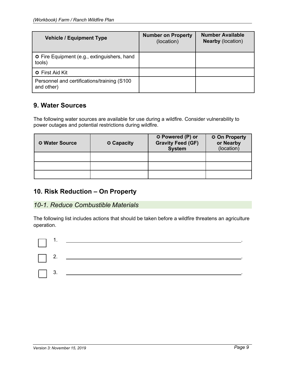| <b>Vehicle / Equipment Type</b>                              | <b>Number on Property</b><br>(location) | <b>Number Available</b><br><b>Nearby (location)</b> |
|--------------------------------------------------------------|-----------------------------------------|-----------------------------------------------------|
| <b>☉</b> Fire Equipment (e.g., extinguishers, hand<br>tools) |                                         |                                                     |
| <b>C</b> First Aid Kit                                       |                                         |                                                     |
| Personnel and certifications/training (S100<br>and other)    |                                         |                                                     |

## **9. Water Sources**

The following water sources are available for use during a wildfire. Consider vulnerability to power outages and potential restrictions during wildfire.

| <b>O</b> Water Source | <b>☉ Capacity</b> | <b>☉ Powered (P) or</b><br><b>Gravity Feed (GF)</b><br><b>System</b> | <b>☉ On Property</b><br>or Nearby<br>(location) |
|-----------------------|-------------------|----------------------------------------------------------------------|-------------------------------------------------|
|                       |                   |                                                                      |                                                 |
|                       |                   |                                                                      |                                                 |
|                       |                   |                                                                      |                                                 |

## **10. Risk Reduction – On Property**

## *10-1. Reduce Combustible Materials*

The following list includes actions that should be taken before a wildfire threatens an agriculture operation.

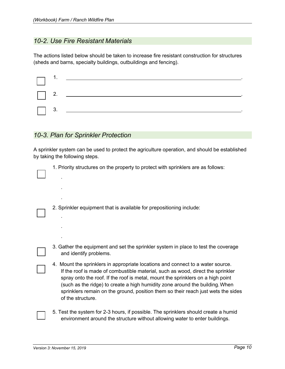## *10-2. Use Fire Resistant Materials*

The actions listed below should be taken to increase fire resistant construction for structures (sheds and barns, specialty buildings, outbuildings and fencing).

|  | $\Box$ 1. $\Box$ 1. $\Box$ 1. $\Box$ 1. $\Box$ 1. $\Box$ 1. $\Box$ 1. $\Box$ 1. $\Box$ 1. $\Box$ 1. $\Box$ 1. $\Box$ 1. $\Box$ 1. $\Box$ 1. $\Box$ 1. $\Box$ 1. $\Box$ 1. $\Box$ 1. $\Box$ 1. $\Box$ 1. $\Box$ 1. $\Box$ 1. $\Box$ 1. $\Box$ 1. $\Box$ 1. $\Box$ 1. $\Box$ 1. $\Box$ |
|--|--------------------------------------------------------------------------------------------------------------------------------------------------------------------------------------------------------------------------------------------------------------------------------------|
|  |                                                                                                                                                                                                                                                                                      |
|  | $\begin{array}{ c c } \hline \quad & 3. & \hline \end{array}$                                                                                                                                                                                                                        |

## *10-3. Plan for Sprinkler Protection*

.

.

.

.

.

.

A sprinkler system can be used to protect the agriculture operation, and should be established by taking the following steps.

1. Priority structures on the property to protect with sprinklers are as follows:

2. Sprinkler equipment that is available for prepositioning include:

3. Gather the equipment and set the sprinkler system in place to test the coverage and identify problems.

4. Mount the sprinklers in appropriate locations and connect to a water source. If the roof is made of combustible material, such as wood, direct the sprinkler spray onto the roof. If the roof is metal, mount the sprinklers on a high point (such as the ridge) to create a high humidity zone around the building.When sprinklers remain on the ground, position them so their reach just wets the sides of the structure.

5. Test the system for 2-3 hours, if possible. The sprinklers should create a humid environment around the structure without allowing water to enter buildings.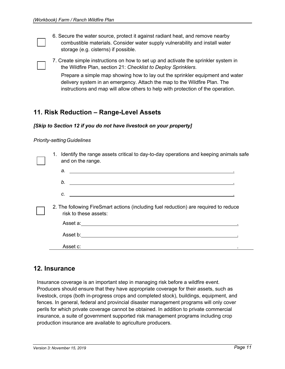| 6. Secure the water source, protect it against radiant heat, and remove nearby |
|--------------------------------------------------------------------------------|
| combustible materials. Consider water supply vulnerability and install water   |
| storage (e.g. cisterns) if possible.                                           |

7. Create simple instructions on how to set up and activate the sprinkler system in the Wildfire Plan, section 21: *Checklist to Deploy Sprinklers*. Prepare a simple map showing how to lay out the sprinkler equipment and water

delivery system in an emergency. Attach the map to the Wildfire Plan. The instructions and map will allow others to help with protection of the operation.

## **11. Risk Reduction – Range-Level Assets**

#### *[Skip to Section 12 if you do not have livestock on your property]*

#### *Priority-settingGuidelines*

|  | 1. Identify the range assets critical to day-to-day operations and keeping animals safe<br>and on the range.                                                                                                                               |
|--|--------------------------------------------------------------------------------------------------------------------------------------------------------------------------------------------------------------------------------------------|
|  | $a.$ $a.$                                                                                                                                                                                                                                  |
|  | b.<br><u> 1989 - Johann Harry Harry Harry Harry Harry Harry Harry Harry Harry Harry Harry Harry Harry Harry Harry Harry Harry Harry Harry Harry Harry Harry Harry Harry Harry Harry Harry Harry Harry Harry Harry Harry Harry Harry Ha</u> |
|  | C.<br><u>and the contract of the contract of the contract of the contract of the contract of the contract of the contract of the contract of the contract of the contract of the contract of the contract of the contract of the contr</u> |
|  | 2. The following FireSmart actions (including fuel reduction) are required to reduce<br>risk to these assets:                                                                                                                              |
|  |                                                                                                                                                                                                                                            |
|  |                                                                                                                                                                                                                                            |
|  | Asset c:                                                                                                                                                                                                                                   |

## **12. Insurance**

Insurance coverage is an important step in managing risk before a wildfire event. Producers should ensure that they have appropriate coverage for their assets, such as livestock, crops (both in-progress crops and completed stock), buildings, equipment, and fences. In general, federal and provincial disaster management programs will only cover perils for which private coverage cannot be obtained. In addition to private commercial insurance, a suite of government supported risk management programs including crop production insurance are available to agriculture producers.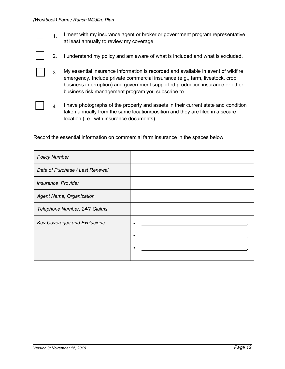1. I meet with my insurance agent or broker or government program representative at least annually to review my coverage

|  |  |  |  |  | I understand my policy and am aware of what is included and what is excluded. |
|--|--|--|--|--|-------------------------------------------------------------------------------|
|--|--|--|--|--|-------------------------------------------------------------------------------|

3. My essential insurance information is recorded and available in event of wildfire emergency. Include private commercial insurance (e.g., farm, livestock, crop, business interruption) and government supported production insurance or other business risk management program you subscribe to.

 $4.$  I have photographs of the property and assets in their current state and condition taken annually from the same location/position and they are filed in a secure location (i.e., with insurance documents).

Record the essential information on commercial farm insurance in the spaces below.

| <b>Policy Number</b>            |  |
|---------------------------------|--|
| Date of Purchase / Last Renewal |  |
| Insurance Provider              |  |
| Agent Name, Organization        |  |
| Telephone Number, 24/7 Claims   |  |
| Key Coverages and Exclusions    |  |
|                                 |  |
|                                 |  |
|                                 |  |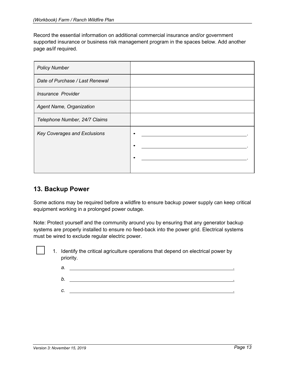Record the essential information on additional commercial insurance and/or government supported insurance or business risk management program in the spaces below. Add another page as/if required.

| <b>Policy Number</b>                |  |
|-------------------------------------|--|
| Date of Purchase / Last Renewal     |  |
| <b>Insurance Provider</b>           |  |
| Agent Name, Organization            |  |
| Telephone Number, 24/7 Claims       |  |
| <b>Key Coverages and Exclusions</b> |  |
|                                     |  |
|                                     |  |
|                                     |  |

## **13. Backup Power**

Some actions may be required before a wildfire to ensure backup power supply can keep critical equipment working in a prolonged power outage.

Note: Protect yourself and the community around you by ensuring that any generator backup systems are properly installed to ensure no feed-back into the power grid. Electrical systems must be wired to exclude regular electric power.

- 1. Identify the critical agriculture operations that depend on electrical power by priority.
	- *a.* . *b.* .
	-
	- *c.* .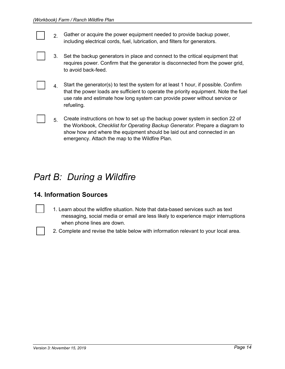- 2. Gather or acquire the power equipment needed to provide backup power, including electrical cords, fuel, lubrication, and filters for generators.
- 3. Set the backup generators in place and connect to the critical equipment that requires power. Confirm that the generator is disconnected from the power grid, to avoid back-feed.
- $4.$  Start the generator(s) to test the system for at least 1 hour, if possible. Confirm that the power loads are sufficient to operate the priority equipment. Note the fuel use rate and estimate how long system can provide power without service or refueling.
- 5. Create instructions on how to set up the backup power system in section 22 of the Workbook, *Checklist for Operating Backup Generator*. Prepare a diagram to show how and where the equipment should be laid out and connected in an emergency. Attach the map to the Wildfire Plan.

## *Part B: During a Wildfire*

## **14. Information Sources**

- 1. Learn about the wildfire situation. Note that data-based services such as text messaging, social media or email are less likely to experience major interruptions when phone lines are down.
- 2. Complete and revise the table below with information relevant to your local area.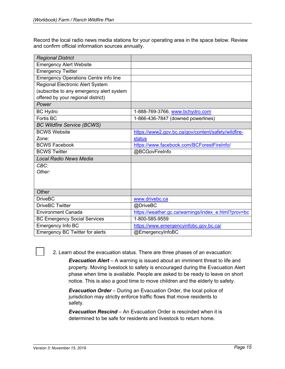Record the local radio news media stations for your operating area in the space below. Review and confirm official information sources annually.

| <b>Regional District</b>                     |                                                     |
|----------------------------------------------|-----------------------------------------------------|
| <b>Emergency Alert Website</b>               |                                                     |
| <b>Emergency Twitter</b>                     |                                                     |
| <b>Emergency Operations Centre info line</b> |                                                     |
| <b>Regional Electronic Alert System</b>      |                                                     |
| (subscribe to any emergency alert system     |                                                     |
| offered by your regional district)           |                                                     |
| Power                                        |                                                     |
| <b>BC Hydro</b>                              | 1-888-769-3766, www.bchydro.com                     |
| Fortis BC                                    | 1-866-436-7847 (downed powerlines)                  |
| <b>BC Wildfire Service (BCWS)</b>            |                                                     |
| <b>BCWS Website</b>                          | https://www2.gov.bc.ca/gov/content/safety/wildfire- |
| Zone:                                        | status                                              |
| <b>BCWS Facebook</b>                         | https://www.facebook.com/BCForestFireInfo/          |
| <b>BCWS Twitter</b>                          | @BCGovFireInfo                                      |
| <b>Local Radio News Media</b>                |                                                     |
| CBC:                                         |                                                     |
| Other:                                       |                                                     |
|                                              |                                                     |
|                                              |                                                     |
| Other                                        |                                                     |
| <b>DriveBC</b>                               | www.drivebc.ca                                      |
| <b>DriveBC Twitter</b>                       | @DriveBC                                            |
| <b>Environment Canada</b>                    | https://weather.gc.ca/warnings/index_e.html?prov=bc |
| <b>BC Emergency Social Services</b>          | 1-800-585-9559                                      |
| Emergency Info BC                            | https://www.emergencyinfobc.gov.bc.ca/              |
| Emergency BC Twitter for alerts              | @EmergencyInfoBC                                    |

2. Learn about the evacuation status. There are three phases of an evacuation:

*Evacuation Alert* – A warning is issued about an imminent threat to life and property. Moving livestock to safety is encouraged during the Evacuation Alert phase when time is available. People are asked to be ready to leave on short notice. This is also a good time to move children and the elderly to safety.

*Evacuation Order – During an Evacuation Order, the local police of* jurisdiction may strictly enforce traffic flows that move residents to safety.

*Evacuation Rescind* – An Evacuation Order is rescinded when it is determined to be safe for residents and livestock to return home.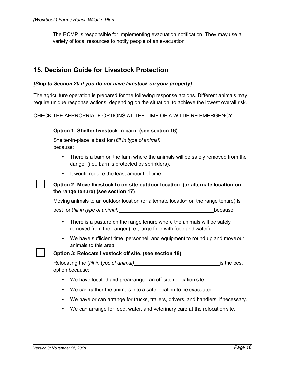The RCMP is responsible for implementing evacuation notification. They may use a variety of local resources to notify people of an evacuation.

## **15. Decision Guide for Livestock Protection**

#### *[Skip to Section 20 if you do not have livestock on your property]*

The agriculture operation is prepared for the following response actions. Different animals may require unique response actions, depending on the situation, to achieve the lowest overall risk.

CHECK THE APPROPRIATE OPTIONS AT THE TIME OF A WILDFIRE EMERGENCY.



#### **Option 1: Shelter livestock in barn. (see section 16)**

Shelter-in-place is best for (*fill in type of animal)* because:

- There is a barn on the farm where the animals will be safely removed from the danger (i.e., barn is protected by sprinklers).
- It would require the least amount of time.

#### **Option 2: Move livestock to on-site outdoor location. (or alternate location on the range tenure) (see section 17)**

Moving animals to an outdoor location (or alternate location on the range tenure) is best for (fill in type of animal) because:

- There is a pasture on the range tenure where the animals will be safely removed from the danger (i.e., large field with food and water).
- We have sufficient time, personnel, and equipment to round up and moveour animals to this area.

#### **Option 3: Relocate livestock off site. (see section 18)**

Relocating the (*fill in type of animal)* is the best option because:

- We have located and prearranged an off-site relocation site.
- We can gather the animals into a safe location to be evacuated.
- We have or can arrange for trucks, trailers, drivers, and handlers, ifnecessary.
- We can arrange for feed, water, and veterinary care at the relocation site.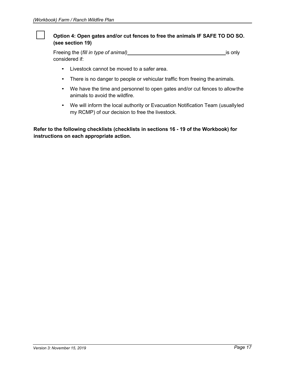#### **Option 4: Open gates and/or cut fences to free the animals IF SAFE TO DO SO. (see section 19)**

Freeing the (*fill in type of animal*) **is only** is only considered if:

- Livestock cannot be moved to a safer area.
- There is no danger to people or vehicular traffic from freeing the animals.
- We have the time and personnel to open gates and/or cut fences to allowthe animals to avoid the wildfire.
- We will inform the local authority or Evacuation Notification Team (usuallyled my RCMP) of our decision to free the livestock.

**Refer to the following checklists (checklists in sections 16 - 19 of the Workbook) for instructions on each appropriate action.**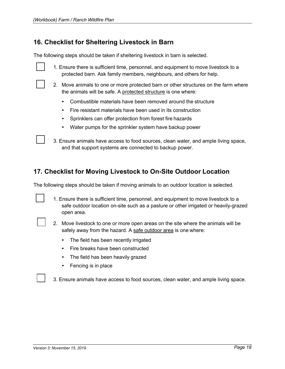## **16. Checklist for Sheltering Livestock in Barn**

The following steps should be taken if sheltering livestock in barn is selected.

| 1. Ensure there is sufficient time, personnel, and equipment to move livestock to a |
|-------------------------------------------------------------------------------------|
| protected barn. Ask family members, neighbours, and others for help.                |

- 2. Move animals to one or more protected barn or other structures on the farm where the animals will be safe. A protected structure is one where:
	- Combustible materials have been removed around the structure
	- Fire resistant materials have been used in its construction
	- Sprinklers can offer protection from forest fire hazards
	- Water pumps for the sprinkler system have backup power

3. Ensure animals have access to food sources, clean water, and ample living space, and that support systems are connected to backup power.

## **17. Checklist for Moving Livestock to On-Site Outdoor Location**

The following steps should be taken if moving animals to an outdoor location is selected.

| 1. Ensure there is sufficient time, personnel, and equipment to move livestock to a  |
|--------------------------------------------------------------------------------------|
| safe outdoor location on-site such as a pasture or other irrigated or heavily-grazed |
| open area.                                                                           |

| 2. Move livestock to one or more open areas on the site where the animals will be |
|-----------------------------------------------------------------------------------|
| safely away from the hazard. A safe outdoor area is one where:                    |

- The field has been recently irrigated
- Fire breaks have been constructed
- The field has been heavily grazed
- Fencing is in place

3. Ensure animals have access to food sources, clean water, and ample living space.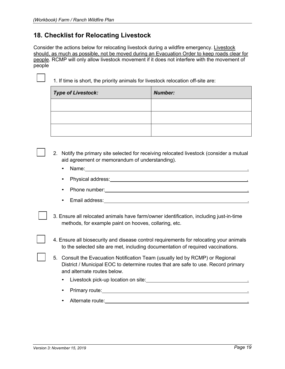## **18. Checklist for Relocating Livestock**

Consider the actions below for relocating livestock during a wildfire emergency. Livestock should, as much as possible, not be moved during an Evacuation Order to keep roads clear for people. RCMP will only allow livestock movement if it does not interfere with the movement of people



1. If time is short, the priority animals for livestock relocation off-site are:

| <b>Type of Livestock:</b> | <b>Number:</b> |
|---------------------------|----------------|
|                           |                |
|                           |                |
|                           |                |

2. Notify the primary site selected for receiving relocated livestock (consider a mutual aid agreement or memorandum of understanding).

- Name: 2008 and 2008 and 2008 and 2008 and 2008 and 2008 and 2008 and 2008 and 2008 and 2008 and 2008 and 200
- Physical address: .
- Phone number: **and the set of the set of the set of the set of the set of the set of the set of the set of the set of the set of the set of the set of the set of the set of the set of the set of the set of the set of the**
- Email address: .
- 3. Ensure all relocated animals have farm/owner identification, including just-in-time methods, for example paint on hooves, collaring, etc.
- 4. Ensure all biosecurity and disease control requirements for relocating your animals to the selected site are met, including documentation of required vaccinations.
- 5. Consult the Evacuation Notification Team (usually led by RCMP) or Regional District / Municipal EOC to determine routes that are safe to use. Record primary and alternate routes below.
	- Livestock pick-up location on site: .
	- **Primary route:**  $\blacksquare$
	- Alternate route: .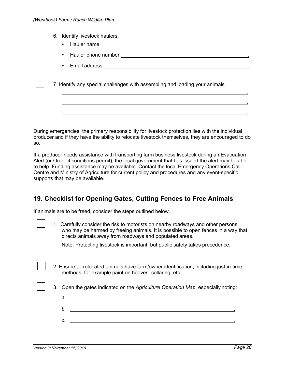| 6. Identify livestock haulers. |  |
|--------------------------------|--|
|--------------------------------|--|

- Hauler name: .
- Hauler phone number: .
- Email address: .

7. Identify any special challenges with assembling and loading your animals.

During emergencies, the primary responsibility for livestock protection lies with the individual producer and if they have the ability to relocate livestock themselves, they are encouraged to do so.

If a producer needs assistance with transporting farm business livestock during an Evacuation Alert (or Order if conditions permit), the local government that has issued the alert may be able to help. Funding assistance may be available. Contact the local Emergency Operations Call Centre and Ministry of Agriculture for current policy and procedures and any event-specific supports that may be available.

## **19. Checklist for Opening Gates, Cutting Fences to Free Animals**

If animals are to be freed, consider the steps outlined below.

1. Carefully consider the risk to motorists on nearby roadways and other persons who may be harmed by freeing animals. It is possible to open fences in a way that directs animals away from roadways and populated areas.

Note: Protecting livestock is important, but public safety takes precedence.

- 2. Ensure all relocated animals have farm/owner identification, including just-in-time methods, for example paint on hooves, collaring, etc.
- 3. Open the gates indicated on the *Agriculture Operation Map*, especially noting:
	- *a.* . *b.* . *c.* .

.

.

.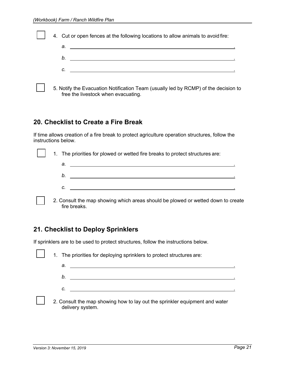|  | 4. Cut or open fences at the following locations to allow animals to avoid fire:    |
|--|-------------------------------------------------------------------------------------|
|  | $a.$ $\overline{\phantom{a}}$                                                       |
|  |                                                                                     |
|  |                                                                                     |
|  | 5. Notify the Evacuation Notification Team (usually led by RCMP) of the decision to |

5. Notify the Evacuation Notification Team (usually led by RCMP) of the decision to free the livestock when evacuating.

## **20. Checklist to Create a Fire Break**

If time allows creation of a fire break to protect agriculture operation structures, follow the instructions below.

|  | 1. The priorities for plowed or wetted fire breaks to protect structures are:         |  |  |
|--|---------------------------------------------------------------------------------------|--|--|
|  | $a.$ $\overline{\phantom{a}}$                                                         |  |  |
|  | b.<br><u> 1986 - Andrea Andrew Maria (h. 1986).</u><br>1906 - Andrew Maria (h. 1906). |  |  |
|  | $c.$ $\overline{\phantom{a}}$                                                         |  |  |
|  | 2. Consult the map showing which areas should be plowed or wetted down to crea        |  |  |

2. Consult the map showing which areas should be plowed or wetted down to create fire breaks.

## **21. Checklist to Deploy Sprinklers**

If sprinklers are to be used to protect structures, follow the instructions below.

|  | 1. The priorities for deploying sprinklers to protect structures are:                           |
|--|-------------------------------------------------------------------------------------------------|
|  | а.                                                                                              |
|  | b.                                                                                              |
|  | с.                                                                                              |
|  | 2. Consult the map showing how to lay out the sprinkler equipment and water<br>delivery system. |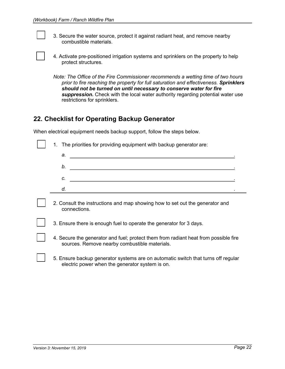3. Secure the water source, protect it against radiant heat, and remove nearby combustible materials.

|                     | 4. Activate pre-positioned irrigation systems and sprinklers on the property to help |
|---------------------|--------------------------------------------------------------------------------------|
| protect structures. |                                                                                      |

*Note: The Office of the Fire Commissioner recommends a wetting time of two hours prior to fire reaching the property for full saturation and effectiveness. Sprinklers should not be turned on until necessary to conserve water for fire suppression.* Check with the local water authority regarding potential water use restrictions for sprinklers.

### **22. Checklist for Operating Backup Generator**

When electrical equipment needs backup support, follow the steps below.

| 1. The priorities for providing equipment with backup generator are: |  |  |  |  |
|----------------------------------------------------------------------|--|--|--|--|
| а.                                                                   |  |  |  |  |
| b.                                                                   |  |  |  |  |
| C.                                                                   |  |  |  |  |
|                                                                      |  |  |  |  |
|                                                                      |  |  |  |  |

2. Consult the instructions and map showing how to set out the generator and connections.

3. Ensure there is enough fuel to operate the generator for 3 days.

- 4. Secure the generator and fuel; protect them from radiant heat from possible fire sources. Remove nearby combustible materials.
- 5. Ensure backup generator systems are on automatic switch that turns off regular electric power when the generator system is on.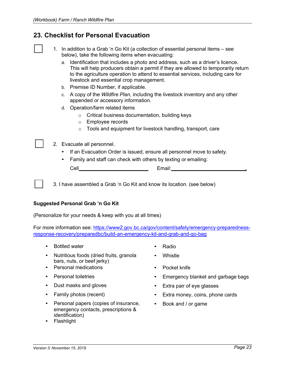## **23. Checklist for Personal Evacuation**

| 1. In addition to a Grab 'n Go Kit (a collection of essential personal items – see |
|------------------------------------------------------------------------------------|
| below), take the following items when evacuating:                                  |

- a. Identification that includes a photo and address, such as a driver's licence. This will help producers obtain a permit if they are allowed to temporarily return to the agriculture operation to attend to essential services, including care for livestock and essential crop management.
- b. Premise ID Number, if applicable.
- c. A copy of the *Wildfire Plan*, including the livestock inventory and any other appended or accessory information.
- d. Operation/farm related items
	- o Critical business documentation, building keys
	- o Employee records
	- o Tools and equipment for livestock handling, transport, care
- 2. Evacuate all personnel.
	- If an Evacuation Order is issued, ensure all personnel move to safety.
	- Family and staff can check with others by texting or emailing:

| . | .<br>$ -$ |  |
|---|-----------|--|
|   |           |  |

3. I have assembled a Grab 'n Go Kit and know its location. (see below)

#### **Suggested Personal Grab 'n Go Kit**

(Personalize for your needs & keep with you at all times)

For more information see: https://www2.gov.bc.ca/gov/content/safety/emergency-preparednessresponse-recovery/preparedbc/build-an-emergency-kit-and-grab-and-go-bag

- Bottled water  **Radio**
- Nutritious foods (dried fruits, granola bars, nuts, or beef jerky)
- Personal medications Pocket knife
- 
- 
- 
- Personal papers (copies of insurance, emergency contacts, prescriptions & identification)
- Flashlight
- 
- Whistle
- 
- Personal toiletries Emergency blanket and garbage bags
- Dust masks and gloves Extra pair of eye glasses
- Family photos (recent) Extra money, coins, phone cards
	- Book and / or game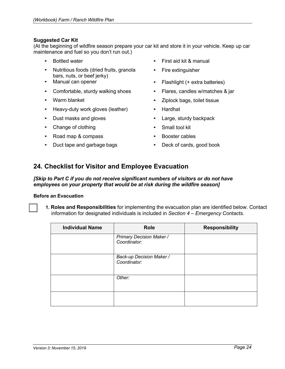#### **Suggested Car Kit**

(At the beginning of wildfire season prepare your car kit and store it in your vehicle. Keep up car maintenance and fuel so you don't run out.)

- 
- Nutritious foods (dried fruits, granola bars, nuts, or beef jerky)
- Manual can opener
- Comfortable, sturdy walking shoes
- Warm blanket
- Heavy-duty work gloves (leather)
- Dust masks and gloves
- Change of clothing
- Road map & compass
- Duct tape and garbage bags
- Bottled water First aid kit & manual
	- Fire extinguisher
	- Flashlight (+ extra batteries)
	- Flares, candles w/matches & jar
	- Ziplock bags, toilet tissue
	- Hardhat
	- Large, sturdy backpack
	- Small tool kit
	- Booster cables
	- Deck of cards, good book

## **24. Checklist for Visitor and Employee Evacuation**

*[Skip to Part C if you do not receive significant numbers of visitors or do not have employees on your property that would be at risk during the wildfire season]*

#### **Before an Evacuation**

**1. Roles and Responsibilities** for implementing the evacuation plan are identified below. Contact information for designated individuals is included in *Section 4 – Emergency Contacts.*

| <b>Individual Name</b> | <b>Role</b>                                     | <b>Responsibility</b> |
|------------------------|-------------------------------------------------|-----------------------|
|                        | <b>Primary Decision Maker /</b><br>Coordinator: |                       |
|                        | Back-up Decision Maker /<br>Coordinator:        |                       |
|                        | Other:                                          |                       |
|                        |                                                 |                       |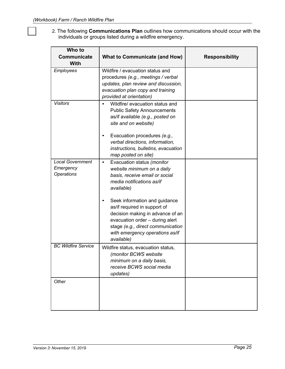2*.* The following **Communications Plan** outlines how communications should occur with the individuals or groups listed during a wildfire emergency.

| Who to<br><b>Communicate</b><br><b>With</b>               | <b>What to Communicate (and How)</b>                                                                                                                                                                                       | <b>Responsibility</b> |
|-----------------------------------------------------------|----------------------------------------------------------------------------------------------------------------------------------------------------------------------------------------------------------------------------|-----------------------|
| Employees                                                 | Wildfire / evacuation status and<br>procedures (e.g., meetings / verbal<br>updates, plan review and discussion,<br>evacuation plan copy and training<br>provided at orientation)                                           |                       |
| <b>Visitors</b>                                           | Wildfire/ evacuation status and<br>$\bullet$<br><b>Public Safety Announcements</b><br>as/if available (e.g., posted on<br>site and on website)                                                                             |                       |
|                                                           | Evacuation procedures (e.g.,<br>$\bullet$<br>verbal directions, information,<br>instructions, bulletins, evacuation<br>map posted on site)                                                                                 |                       |
| <b>Local Government</b><br>Emergency<br><b>Operations</b> | Evacuation status (monitor<br>$\bullet$<br>website minimum on a daily<br>basis, receive email or social<br>media notifications as/if<br>available)                                                                         |                       |
|                                                           | Seek information and guidance<br>as/if required in support of<br>decision making in advance of an<br>evacuation order - during alert<br>stage (e.g., direct communication<br>with emergency operations as/if<br>available) |                       |
| <b>BC Wildfire Service</b>                                | Wildfire status, evacuation status,<br>(monitor BCWS website<br>minimum on a daily basis,<br>receive BCWS social media<br>updates)                                                                                         |                       |
| Other                                                     |                                                                                                                                                                                                                            |                       |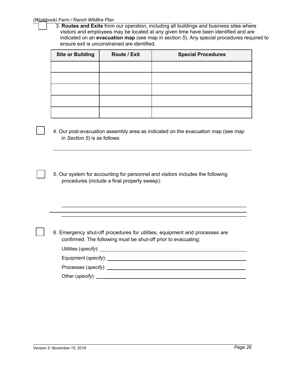#### *(Workbook) Farm / Ranch Wildfire Plan*

 3. **Routes and Exits** from our operation, including all buildings and business sites where visitors and employees may be located at any given time have been identified and are indicated on an **evacuation map** (see map in section *5*). Any special procedures required to ensure exit is unconstrained are identified.

| <b>Site or Building</b> | Route / Exit | <b>Special Procedures</b> |
|-------------------------|--------------|---------------------------|
|                         |              |                           |
|                         |              |                           |
|                         |              |                           |
|                         |              |                           |
|                         |              |                           |

- 4. Our post-evacuation assembly area as indicated on the evacuation map (see map in *Section 5*) is as follows:
- 5. Our system for accounting for personnel and visitors includes the following procedures (include a final property sweep):

6. Emergency shut-off procedures for utilities, equipment and processes are confirmed. The following must be shut-off prior to evacuating:

| Utilities (specify): _ |
|------------------------|
|                        |

Equipment (*specify*):

Processes (*specify*):

Other (*specify*):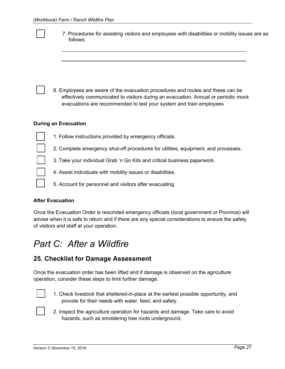| 7. Procedures for assisting visitors and employees with disabilities or mobility issues are as<br>follows:                                                                                                                                   |
|----------------------------------------------------------------------------------------------------------------------------------------------------------------------------------------------------------------------------------------------|
|                                                                                                                                                                                                                                              |
|                                                                                                                                                                                                                                              |
| 8. Employees are aware of the evacuation procedures and routes and these can be<br>effectively communicated to visitors during an evacuation. Annual or periodic mock<br>evacuations are recommended to test your system and train employees |
| <b>During an Evacuation</b>                                                                                                                                                                                                                  |
| 1. Follow instructions provided by emergency officials.                                                                                                                                                                                      |
| 2. Complete emergency shut-off procedures for utilities, equipment, and processes.                                                                                                                                                           |
| 3. Take your individual Grab 'n Go Kits and critical business paperwork.                                                                                                                                                                     |
| 4. Assist individuals with mobility issues or disabilities.                                                                                                                                                                                  |
| 5. Account for personnel and visitors after evacuating.                                                                                                                                                                                      |
|                                                                                                                                                                                                                                              |

#### **After Evacuation**

Once the Evacuation Order is rescinded emergency officials (local government or Province) will advise when it is safe to return and if there are any special considerations to ensure the safety of visitors and staff at your operation.

## *Part C: After a Wildfire*

## **25. Checklist for Damage Assessment**

Once the evacuation order has been lifted and if damage is observed on the agriculture operation, consider these steps to limit further damage.



1. Check livestock that sheltered-in-place at the earliest possible opportunity, and provide for their needs with water, feed, and safety.



2. Inspect the agriculture operation for hazards and damage. Take care to avoid hazards, such as smoldering tree roots underground.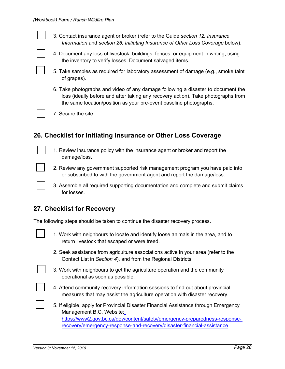3. Contact insurance agent or broker (refer to the Guide *section 12, Insurance Information* and *section 26, Initiating Insurance of Other Loss Coverage* below).

- 4. Document any loss of livestock, buildings, fences, or equipment in writing, using the inventory to verify losses. Document salvaged items.
- 5. Take samples as required for laboratory assessment of damage (e.g., smoke taint of grapes).

6. Take photographs and video of any damage following a disaster to document the loss (ideally before and after taking any recovery action). Take photographs from the same location/position as your pre-event baseline photographs.

7. Secure the site.

## **26. Checklist for Initiating Insurance or Other Loss Coverage**

- 1. Review insurance policy with the insurance agent or broker and report the damage/loss.
- 
- 2. Review any government supported risk management program you have paid into or subscribed to with the government agent and report the damage/loss.
- 3. Assemble all required supporting documentation and complete and submit claims for losses.

## **27. Checklist for Recovery**

The following steps should be taken to continue the disaster recovery process.

- 
- 1. Work with neighbours to locate and identify loose animals in the area, and to return livestock that escaped or were treed.

- 2. Seek assistance from agriculture associations active in your area (refer to the Contact List in *Section 4*), and from the Regional Districts.
- - 3. Work with neighbours to get the agriculture operation and the community operational as soon as possible.
	- 4. Attend community recovery information sessions to find out about provincial measures that may assist the agriculture operation with disaster recovery.
	- 5. If eligible, apply for Provincial Disaster Financial Assistance through Emergency Management B.C. Website: https://www2.gov.bc.ca/gov/content/safety/emergency-preparedness-responserecovery/emergency-response-and-recovery/disaster-financial-assistance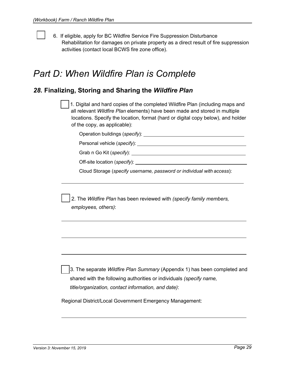6. If eligible, apply for BC Wildfire Service Fire Suppression Disturbance Rehabilitation for damages on private property as a direct result of fire suppression activities (contact local BCWS fire zone office).

## *Part D: When Wildfire Plan is Complete*

## *28.* **Finalizing, Storing and Sharing the** *Wildfire Plan*

 1. Digital and hard copies of the completed Wildfire Plan (including maps and all relevant *Wildfire Plan* elements) have been made and stored in multiple locations. Specify the location, format (hard or digital copy below), and holder of the copy, as applicable):

Operation buildings (*specify*):

Personal vehicle (*specify*):

Grab n Go Kit (*specify*):

Off-site location (*specify*):

Cloud Storage (*specify username, password or individual with access*):

 2. The *Wildfire Plan* has been reviewed with *(specify family members, employees, others)*:

 3. The separate *Wildfire Plan Summary* (Appendix 1) has been completed and shared with the following authorities or individuals *(specify name, title/organization, contact information, and date)*:

Regional District/Local Government Emergency Management: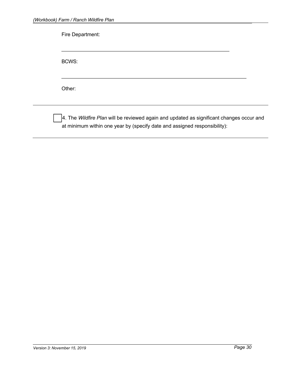| Other: |  |
|--------|--|

 4. The *Wildfire Plan* will be reviewed again and updated as significant changes occur and at minimum within one year by (specify date and assigned responsibility):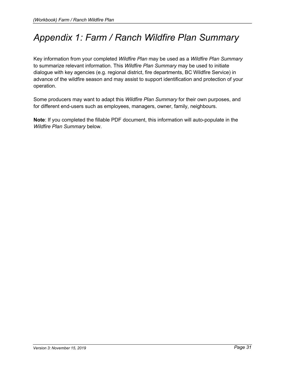## *Appendix 1: Farm / Ranch Wildfire Plan Summary*

Key information from your completed *Wildfire Plan* may be used as a *Wildfire Plan Summary*  to summarize relevant information. This *Wildfire Plan Summary* may be used to initiate dialogue with key agencies (e.g. regional district, fire departments, BC Wildfire Service) in advance of the wildfire season and may assist to support identification and protection of your operation.

Some producers may want to adapt this *Wildfire Plan Summary* for their own purposes, and for different end-users such as employees, managers, owner, family, neighbours.

**Note**: If you completed the fillable PDF document, this information will auto-populate in the *Wildfire Plan Summary* below.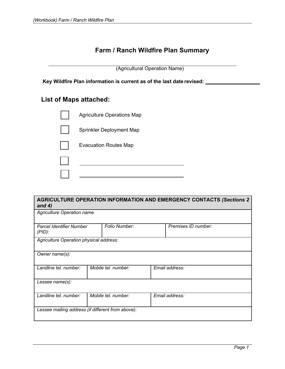## **Farm / Ranch Wildfire Plan Summary**

(Agricultural Operation Name)

**Key Wildfire Plan information is current as of the last date revised:**

## **List of Maps attached:**



| <b>AGRICULTURE OPERATION INFORMATION AND EMERGENCY CONTACTS (Sections 2)</b><br>and $4)$ |  |                     |  |                     |  |  |  |
|------------------------------------------------------------------------------------------|--|---------------------|--|---------------------|--|--|--|
| Agriculture Operation name                                                               |  |                     |  |                     |  |  |  |
| Parcel Identifier Number<br>$(PID)$ :                                                    |  | Folio Number:       |  | Premises ID number: |  |  |  |
| Agriculture Operation physical address:                                                  |  |                     |  |                     |  |  |  |
| Owner name(s):                                                                           |  |                     |  |                     |  |  |  |
| Landline tel. number:                                                                    |  | Mobile tel. number: |  | Email address:      |  |  |  |
| Lessee name(s):                                                                          |  |                     |  |                     |  |  |  |
| Landline tel. number:                                                                    |  | Mobile tel. number: |  | Email address:      |  |  |  |
| Lessee mailing address (if different from above):                                        |  |                     |  |                     |  |  |  |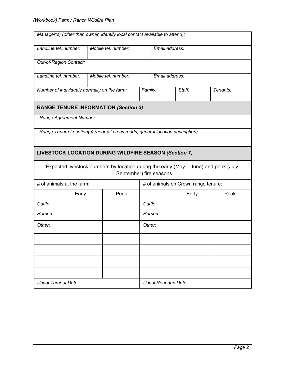| Manager(s) (other than owner, identify local contact available to attend):            |                     |      |         |                                     |        |          |  |  |
|---------------------------------------------------------------------------------------|---------------------|------|---------|-------------------------------------|--------|----------|--|--|
| Landline tel. number:                                                                 | Mobile tel. number: |      |         | Email address:                      |        |          |  |  |
| Out-of-Region Contact:                                                                |                     |      |         |                                     |        |          |  |  |
| Landline tel. number:                                                                 | Mobile tel. number: |      |         | Email address:                      |        |          |  |  |
| Number of individuals normally on the farm:                                           |                     |      | Family: |                                     | Staff: | Tenants: |  |  |
| <b>RANGE TENURE INFORMATION (Section 3)</b>                                           |                     |      |         |                                     |        |          |  |  |
| Range Agreement Number:                                                               |                     |      |         |                                     |        |          |  |  |
| Range Tenure Location(s) (nearest cross roads, general location description):         |                     |      |         |                                     |        |          |  |  |
| <b>LIVESTOCK LOCATION DURING WILDFIRE SEASON (Section 7)</b>                          |                     |      |         |                                     |        |          |  |  |
| Expected livestock numbers by location during the early (May – June) and peak (July – |                     |      |         | September) fire seasons             |        |          |  |  |
| # of animals at the farm:                                                             |                     |      |         | # of animals on Crown range tenure: |        |          |  |  |
| Early                                                                                 |                     | Peak |         |                                     | Peak   |          |  |  |
| Cattle:                                                                               |                     |      |         | Cattle:                             |        |          |  |  |
| Horses:                                                                               |                     |      |         | Horses:                             |        |          |  |  |
| Other:                                                                                |                     |      |         | Other.                              |        |          |  |  |
|                                                                                       |                     |      |         |                                     |        |          |  |  |
|                                                                                       |                     |      |         |                                     |        |          |  |  |
|                                                                                       |                     |      |         |                                     |        |          |  |  |
|                                                                                       |                     |      |         |                                     |        |          |  |  |
| <b>Usual Turnout Date:</b>                                                            |                     |      |         | Usual Roundup Date:                 |        |          |  |  |